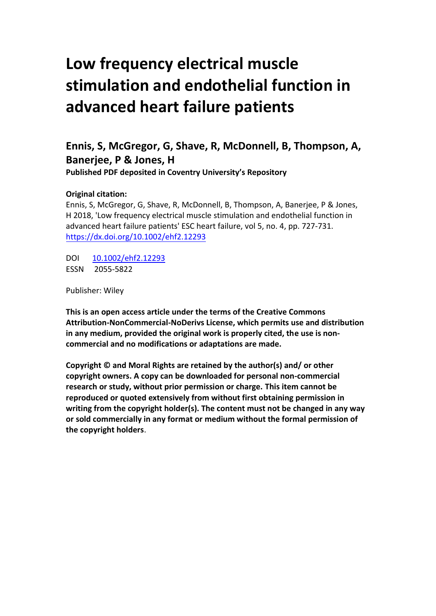# **Low frequency electrical muscle stimulation and endothelial function in advanced heart failure patients**

## **Ennis, S, McGregor, G, Shave, R, McDonnell, B, Thompson, A, Banerjee, P & Jones, H**

**Published PDF deposited in Coventry University's Repository**

## **Original citation:**

Ennis, S, McGregor, G, Shave, R, McDonnell, B, Thompson, A, Banerjee, P & Jones, H 2018, 'Low frequency electrical muscle stimulation and endothelial function in advanced heart failure patients' ESC heart failure, vol 5, no. 4, pp. 727-731. <https://dx.doi.org/10.1002/ehf2.12293>

DOI [10.1002/ehf2.12293](http://dx.doi.org/10.1002/ehf2.12293) ESSN 2055-5822

Publisher: Wiley

**This is an open access article under the terms of the Creative Commons Attribution-NonCommercial-NoDerivs License, which permits use and distribution in any medium, provided the original work is properly cited, the use is noncommercial and no modifications or adaptations are made.** 

**Copyright © and Moral Rights are retained by the author(s) and/ or other copyright owners. A copy can be downloaded for personal non-commercial research or study, without prior permission or charge. This item cannot be reproduced or quoted extensively from without first obtaining permission in writing from the copyright holder(s). The content must not be changed in any way or sold commercially in any format or medium without the formal permission of the copyright holders**.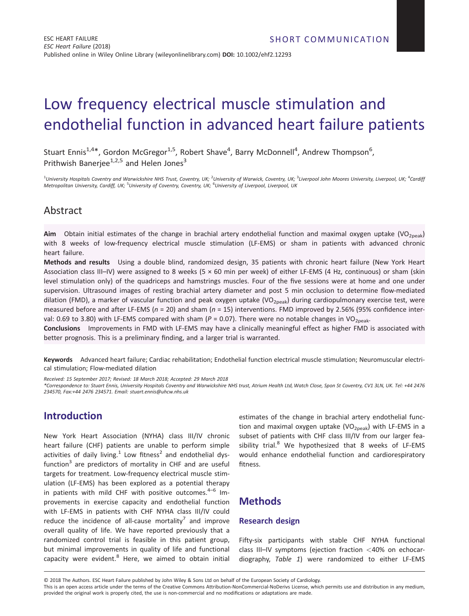## Low frequency electrical muscle stimulation and endothelial function in advanced heart failure patients

Stuart Ennis<sup>1,4\*</sup>, Gordon McGregor<sup>1,5</sup>, Robert Shave<sup>4</sup>, Barry McDonnell<sup>4</sup>, Andrew Thompson<sup>6</sup>, Prithwish Baneriee<sup>1,2,5</sup> and Helen Jones<sup>3</sup>

<sup>1</sup>University Hospitals Coventry and Warwickshire NHS Trust, Coventry, UK; <sup>2</sup>University of Warwick, Coventry, UK; <sup>3</sup>Liverpool John Moores University, Liverpool, UK; <sup>4</sup>Cardifj *Metropolitan University, Cardiff, UK;* <sup>5</sup> *University of Coventry, Coventry, UK;* <sup>6</sup> *University of Liverpool, Liverpool, UK*

## Abstract

**Aim** Obtain initial estimates of the change in brachial artery endothelial function and maximal oxygen uptake (VO<sub>2peak</sub>) with 8 weeks of low-frequency electrical muscle stimulation (LF-EMS) or sham in patients with advanced chronic heart failure.

**Methods and results** Using a double blind, randomized design, 35 patients with chronic heart failure (New York Heart Association class III–IV) were assigned to 8 weeks (5 × 60 min per week) of either LF-EMS (4 Hz, continuous) or sham (skin level stimulation only) of the quadriceps and hamstrings muscles. Four of the five sessions were at home and one under supervision. Ultrasound images of resting brachial artery diameter and post 5 min occlusion to determine flow-mediated dilation (FMD), a marker of vascular function and peak oxygen uptake (VO<sub>2peak</sub>) during cardiopulmonary exercise test, were measured before and after LF-EMS (*n* = 20) and sham (*n* = 15) interventions. FMD improved by 2.56% (95% confidence interval: 0.69 to 3.80) with LF-EMS compared with sham ( $P = 0.07$ ). There were no notable changes in VO<sub>2peak</sub>.

**Conclusions** Improvements in FMD with LF-EMS may have a clinically meaningful effect as higher FMD is associated with better prognosis. This is a preliminary finding, and a larger trial is warranted.

**Keywords** Advanced heart failure; Cardiac rehabilitation; Endothelial function electrical muscle stimulation; Neuromuscular electrical stimulation; Flow-mediated dilation

*Received: 15 September 2017; Revised: 18 March 2018; Accepted: 29 March 2018*

*\*Correspondence to: Stuart Ennis, University Hospitals Coventry and Warwickshire NHS trust, Atrium Health Ltd, Watch Close, Spon St Coventry, CV1 3LN, UK. Tel: +44 2476 234570, Fax:+44 2476 234571. Email: stuart.ennis@uhcw.nhs.uk*

## **Introduction**

New York Heart Association (NYHA) class III/IV chronic heart failure (CHF) patients are unable to perform simple activities of daily living.<sup>1</sup> Low fitness<sup>2</sup> and endothelial dysfunction $3$  are predictors of mortality in CHF and are useful targets for treatment. Low-frequency electrical muscle stimulation (LF-EMS) has been explored as a potential therapy in patients with mild CHF with positive outcomes. $4-6$  Improvements in exercise capacity and endothelial function with LF-EMS in patients with CHF NYHA class III/IV could reduce the incidence of all-cause mortality<sup>7</sup> and improve overall quality of life. We have reported previously that a randomized control trial is feasible in this patient group, but minimal improvements in quality of life and functional capacity were evident. $8$  Here, we aimed to obtain initial

estimates of the change in brachial artery endothelial function and maximal oxygen uptake  $(VO<sub>2peak</sub>)$  with LF-EMS in a subset of patients with CHF class III/IV from our larger feasibility trial. $8$  We hypothesized that 8 weeks of LF-EMS would enhance endothelial function and cardiorespiratory fitness.

## **Methods**

#### **Research design**

Fifty-six participants with stable CHF NYHA functional class III–IV symptoms (ejection fraction *<*40% on echocardiography, *Table 1*) were randomized to either LF-EMS

© 2018 The Authors. ESC Heart Failure published by John Wiley & Sons Ltd on behalf of the European Society of Cardiology.

This is an open access article under the terms of the [Creative Commons Attribution-NonCommercial-NoDerivs](http://creativecommons.org/licenses/by-nc-nd/4.0/) License, which permits use and distribution in any medium, provided the original work is properly cited, the use is non-commercial and no modifications or adaptations are made.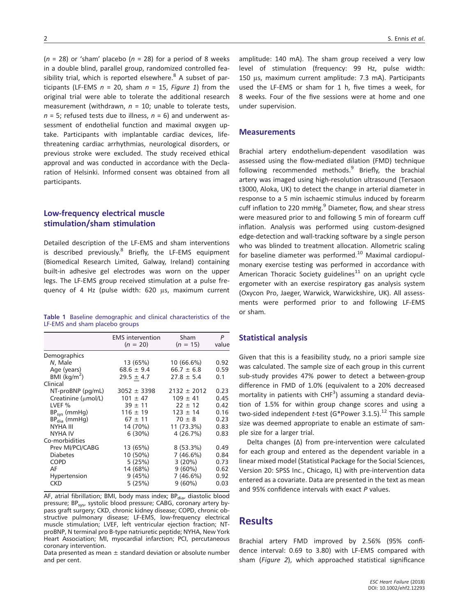( $n = 28$ ) or 'sham' placebo ( $n = 28$ ) for a period of 8 weeks in a double blind, parallel group, randomized controlled feasibility trial, which is reported elsewhere. $8$  A subset of participants (LF-EMS  $n = 20$ , sham  $n = 15$ , *Figure 1*) from the original trial were able to tolerate the additional research measurement (withdrawn, *n* = 10; unable to tolerate tests,  $n = 5$ ; refused tests due to illness,  $n = 6$ ) and underwent assessment of endothelial function and maximal oxygen uptake. Participants with implantable cardiac devices, lifethreatening cardiac arrhythmias, neurological disorders, or previous stroke were excluded. The study received ethical approval and was conducted in accordance with the Declaration of Helsinki. Informed consent was obtained from all participants.

#### **Low-frequency electrical muscle stimulation/sham stimulation**

Detailed description of the LF-EMS and sham interventions is described previously. $8$  Briefly, the LF-EMS equipment (Biomedical Research Limited, Galway, Ireland) containing built-in adhesive gel electrodes was worn on the upper legs. The LF-EMS group received stimulation at a pulse frequency of 4 Hz (pulse width: 620 μs, maximum current

|  |                                | Table 1 Baseline demographic and clinical characteristics of the |  |
|--|--------------------------------|------------------------------------------------------------------|--|
|  | LF-EMS and sham placebo groups |                                                                  |  |

|                            | <b>EMS</b> intervention<br>$(n = 20)$ | Sham<br>$(n = 15)$ | P<br>value |
|----------------------------|---------------------------------------|--------------------|------------|
| Demographics               |                                       |                    |            |
| N, Male                    | 13 (65%)                              | 10 (66.6%)         | 0.92       |
| Age (years)                | $68.6 \pm 9.4$                        | $66.7 \pm 6.8$     | 0.59       |
| $BMI$ (kg/m <sup>2</sup> ) | $29.5 \pm 4.7$                        | $27.8 \pm 5.4$     | 0.1        |
| Clinical                   |                                       |                    |            |
| NT-proBNP (pq/mL)          | $3052 \pm 3398$                       | $2132 \pm 2012$    | 0.23       |
| Creatinine (µmol/L)        | $101 \pm 47$                          | $109 \pm 41$       | 0.45       |
| LVEF %                     | $39 \pm 11$                           | $22 \pm 12$        | 0.42       |
| $BP_{sys}$ (mmHg)          | $116 \pm 19$                          | $123 \pm 14$       | 0.16       |
| $BPdia$ (mmHg)             | $67 \pm 11$                           | $70 \pm 8$         | 0.23       |
| NYHA III                   | 14 (70%)                              | 11 (73.3%)         | 0.83       |
| <b>NYHA IV</b>             | 6 (30%)                               | 4(26.7%)           | 0.83       |
| Co-morbidities             |                                       |                    |            |
| Prev MI/PCI/CABG           | 13 (65%)                              | $8(53.3\%)$        | 0.49       |
| <b>Diabetes</b>            | 10 (50%)                              | 7 (46.6%)          | 0.84       |
| <b>COPD</b>                | 5(25%)                                | 3(20%)             | 0.73       |
| AF                         | 14 (68%)                              | $9(60\%)$          | 0.62       |
| Hypertension               | 9(45%)                                | 7 (46.6%)          | 0.92       |
| CKD                        | 5(25%)                                | $9(60\%)$          | 0.03       |

AF, atrial fibrillation; BMI, body mass index;  $BP<sub>dia</sub>$ , diastolic blood pressure; BP<sub>sys</sub>, systolic blood pressure; CABG, coronary artery bypass graft surgery; CKD, chronic kidney disease; COPD, chronic obstructive pulmonary disease; LF-EMS, low-frequency electrical muscle stimulation; LVEF, left ventricular ejection fraction; NTproBNP, N terminal pro B-type natriuretic peptide; NYHA, New York Heart Association; MI, myocardial infarction; PCI, percutaneous coronary intervention.

Data presented as mean  $\pm$  standard deviation or absolute number and per cent.

amplitude: 140 mA). The sham group received a very low level of stimulation (frequency: 99 Hz, pulse width: 150 μs, maximum current amplitude: 7.3 mA). Participants used the LF-EMS or sham for 1 h, five times a week, for 8 weeks. Four of the five sessions were at home and one under supervision.

#### **Measurements**

Brachial artery endothelium-dependent vasodilation was assessed using the flow-mediated dilation (FMD) technique following recommended methods. $9$  Briefly, the brachial artery was imaged using high-resolution ultrasound (Tersaon t3000, Aloka, UK) to detect the change in arterial diameter in response to a 5 min ischaemic stimulus induced by forearm cuff inflation to 220 mmHg. $9$  Diameter, flow, and shear stress were measured prior to and following 5 min of forearm cuff inflation. Analysis was performed using custom-designed edge-detection and wall-tracking software by a single person who was blinded to treatment allocation. Allometric scaling for baseline diameter was performed.<sup>10</sup> Maximal cardiopulmonary exercise testing was performed in accordance with American Thoracic Society guidelines<sup>11</sup> on an upright cycle ergometer with an exercise respiratory gas analysis system (Oxycon Pro, Jaeger, Warwick, Warwickshire, UK). All assessments were performed prior to and following LF-EMS or sham.

#### **Statistical analysis**

Given that this is a feasibility study, no a priori sample size was calculated. The sample size of each group in this current sub-study provides 47% power to detect a between-group difference in FMD of 1.0% (equivalent to a 20% decreased mortality in patients with  $CHF<sup>3</sup>$ ) assuming a standard deviation of 1.5% for within group change scores and using a two-sided independent *t*-test (G\*Power 3.1.5).<sup>12</sup> This sample size was deemed appropriate to enable an estimate of sample size for a larger trial.

Delta changes (Δ) from pre-intervention were calculated for each group and entered as the dependent variable in a linear mixed model (Statistical Package for the Social Sciences, Version 20: SPSS Inc., Chicago, IL) with pre-intervention data entered as a covariate. Data are presented in the text as mean and 95% confidence intervals with exact *P* values.

### **Results**

Brachial artery FMD improved by 2.56% (95% confidence interval: 0.69 to 3.80) with LF-EMS compared with sham (*Figure 2*), which approached statistical significance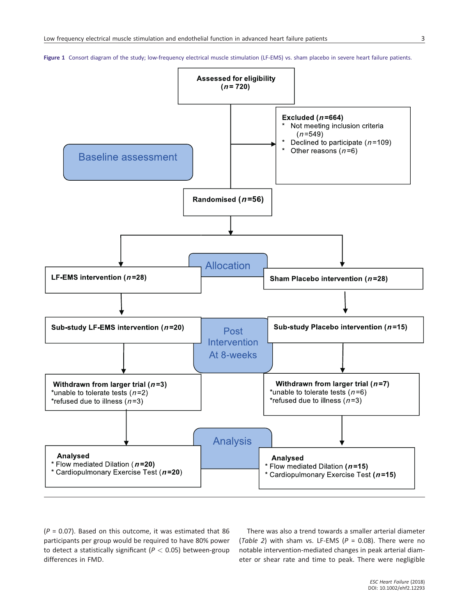**Figure 1** Consort diagram of the study: low-frequency electrical muscle stimulation (LF-EMS) vs. sham placebo in severe heart failure patients.



(*P* = 0.07). Based on this outcome, it was estimated that 86 participants per group would be required to have 80% power to detect a statistically significant (*P <* 0.05) between-group differences in FMD.

There was also a trend towards a smaller arterial diameter (*Table 2*) with sham vs. LF-EMS (*P* = 0.08). There were no notable intervention-mediated changes in peak arterial diameter or shear rate and time to peak. There were negligible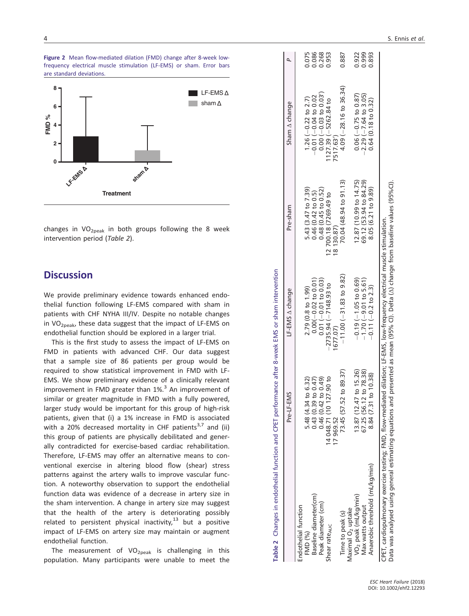



changes in  $VO<sub>2peak</sub>$  in both groups following the 8 week intervention period (*Table 2*).

## **Discussion**

We provide preliminary evidence towards enhanced endothelial function following LF-EMS compared with sham in patients with CHF NYHA III/IV. Despite no notable changes in  $VO<sub>2peak</sub>$ , these data suggest that the impact of LF-EMS on endothelial function should be explored in a larger trial.

This is the first study to assess the impact of LF-EMS on FMD in patients with advanced CHF. Our data suggest that a sample size of 86 patients per group would be required to show statistical improvement in FMD with LF-EMS. We show preliminary evidence of a clinically relevant improvement in FMD greater than  $1\%$ <sup>3</sup> An improvement of similar or greater magnitude in FMD with a fully powered, larger study would be important for this group of high-risk patients, given that (i) a 1% increase in FMD is associated with a 20% decreased mortality in CHF patients<sup>3,7</sup> and (ii) this group of patients are physically debilitated and generally contradicted for exercise-based cardiac rehabilitation. Therefore, LF-EMS may offer an alternative means to conventional exercise in altering blood flow (shear) stress patterns against the artery walls to improve vascular function. A noteworthy observation to support the endothelial function data was evidence of a decrease in artery size in the sham intervention. A change in artery size may suggest that the health of the artery is deteriorating possibly related to persistent physical inactivity, $^{13}$  but a positive impact of LF-EMS on artery size may maintain or augment endothelial function.

The measurement of  $VO_{2peak}$  is challenging in this population. Many participants were unable to meet the

|                                                                                                                                                                                                                                                                  | Pre-LF-EMS                       | LF-EMS A change            | Pre-sham               | Sham A change                    |       |
|------------------------------------------------------------------------------------------------------------------------------------------------------------------------------------------------------------------------------------------------------------------|----------------------------------|----------------------------|------------------------|----------------------------------|-------|
| Endothelial function                                                                                                                                                                                                                                             |                                  |                            |                        |                                  |       |
| <b>FMD (%)</b>                                                                                                                                                                                                                                                   | 5.48 (4.34 to 6.32)              | 2.79 (0.8 to 1.99)         | 5.43 (3.47 to 7.39)    | 1.26 ( $-0.22$ to 2.7)           | 0.075 |
| Baseline diameter(cm)                                                                                                                                                                                                                                            | 0.43(0.39 to 0.47)               | $0.00(-0.02 to 0.01)$      | 0.46(0.42 to 0.5)      | $-0.01(-0.04$ to 0.02            | 0.086 |
| Peak diameter (cm)                                                                                                                                                                                                                                               | $0.46(0.42$ to $0.49)$           | $0.01 (-0.01 to 0.03)$     | 0.48(0.45 to 0.52)     | $0.00 (-0.03 to 0.03')$          | 0.268 |
| Shear rate <sub>AUC</sub>                                                                                                                                                                                                                                        | 14 048 71 (10 127.90 to          | $-2735.94(-7148.93)$ to    | 12 700.18 (7269.49 to  | 127.39 (-5262.84 to              | 0.953 |
|                                                                                                                                                                                                                                                                  | 17969.52                         | 677.07)                    | 8 130.87)              | 7517.63^                         |       |
| Time to peak (s)                                                                                                                                                                                                                                                 | 73.45 (57.52 to 89.37)           | $-11.00(-31.83$ to $9.82)$ | 70.04 (48.94 to 91.13) | $4.09(-28.16 \text{ to } 36.34)$ | 0.887 |
| Maximal O <sub>2</sub> uptake                                                                                                                                                                                                                                    |                                  |                            |                        |                                  |       |
| VO <sub>2</sub> peak (mL/kg/min)                                                                                                                                                                                                                                 | 13.87 (12.47 to 15.26)           | $-0.19(-1.05$ to 0.69)     | 12.87 (10.99 to 14.75) | $0.06 (-0.75 to 0.87)$           | 0.922 |
| Max watts output                                                                                                                                                                                                                                                 | 67.25 (56.12 to 78.38)           | $-1.70(-9.01$ to 5.61)     | 69.12 (53.94 to 84.29) | $-2.29(-7.64$ to 3.05)           | 0.999 |
| Anaerobic threshold (mL/kg/min)                                                                                                                                                                                                                                  | $\frac{10.38}{2}$<br>8.84 (7.31) | $-0.11$ ( $-0.2$ to 2.3)   | 8.05 (6.21 to 9.89)    | 0.64(0.18 to 0.32)               | 0.893 |
| Data was analysed using general estimating equations and presented as mean (95% CI). Delta (A) change from baseline values (95%CI).<br>CPET, cardiopulmonary exercise testing; FMD, flow-mediated dilation; LF-EMS, low-frequency electrical muscle stimulation. |                                  |                            |                        |                                  |       |

**Table 2** Changes in endothelial function and CPET performance after 8-week EMS or sham intervention

Table 2 Changes in endothelial function and CPET performance after 8-week EMS or sham intervention

|  | ESC Heart Failure (2018) |  |
|--|--------------------------|--|
|  | DOI: 10.1002/ehf2.12293  |  |